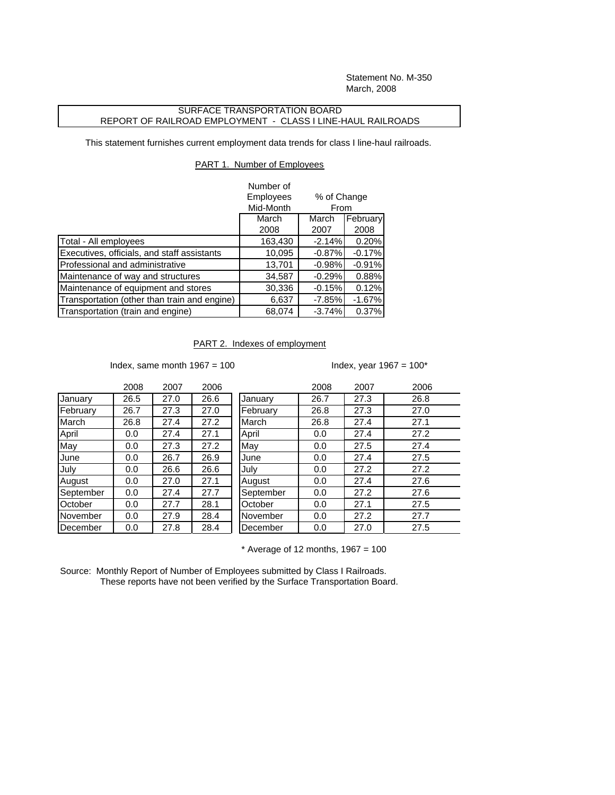Statement No. M-350 March, 2008

## SURFACE TRANSPORTATION BOARD REPORT OF RAILROAD EMPLOYMENT - CLASS I LINE-HAUL RAILROADS

This statement furnishes current employment data trends for class I line-haul railroads.

## PART 1. Number of Employees

|                                              | Number of        |                     |          |  |
|----------------------------------------------|------------------|---------------------|----------|--|
|                                              | <b>Employees</b> | % of Change<br>From |          |  |
|                                              | Mid-Month        |                     |          |  |
|                                              | March            | March               | February |  |
|                                              | 2008             | 2007                | 2008     |  |
| Total - All employees                        | 163,430          | $-2.14%$            | 0.20%    |  |
| Executives, officials, and staff assistants  | 10,095           | $-0.87%$            | $-0.17%$ |  |
| Professional and administrative              | 13,701           | $-0.98%$            | $-0.91%$ |  |
| Maintenance of way and structures            | 34,587           | $-0.29%$            | 0.88%    |  |
| Maintenance of equipment and stores          | 30,336           | $-0.15%$            | 0.12%    |  |
| Transportation (other than train and engine) | 6,637            | $-7.85%$            | $-1.67%$ |  |
| Transportation (train and engine)            | 68,074           | $-3.74%$            | 0.37%    |  |

## PART 2. Indexes of employment

Index, same month  $1967 = 100$  Index, year  $1967 = 100^*$ 

|           | 2008 | 2007 | 2006 |           | 2008 | 2007 | 2006 |
|-----------|------|------|------|-----------|------|------|------|
| January   | 26.5 | 27.0 | 26.6 | January   | 26.7 | 27.3 | 26.8 |
| February  | 26.7 | 27.3 | 27.0 | February  | 26.8 | 27.3 | 27.0 |
| March     | 26.8 | 27.4 | 27.2 | March     | 26.8 | 27.4 | 27.1 |
| April     | 0.0  | 27.4 | 27.1 | April     | 0.0  | 27.4 | 27.2 |
| May       | 0.0  | 27.3 | 27.2 | May       | 0.0  | 27.5 | 27.4 |
| June      | 0.0  | 26.7 | 26.9 | June      | 0.0  | 27.4 | 27.5 |
| July      | 0.0  | 26.6 | 26.6 | July      | 0.0  | 27.2 | 27.2 |
| August    | 0.0  | 27.0 | 27.1 | August    | 0.0  | 27.4 | 27.6 |
| September | 0.0  | 27.4 | 27.7 | September | 0.0  | 27.2 | 27.6 |
| October   | 0.0  | 27.7 | 28.1 | October   | 0.0  | 27.1 | 27.5 |
| November  | 0.0  | 27.9 | 28.4 | November  | 0.0  | 27.2 | 27.7 |
| December  | 0.0  | 27.8 | 28.4 | December  | 0.0  | 27.0 | 27.5 |
|           |      |      |      |           |      |      |      |

 $*$  Average of 12 months, 1967 = 100

Source: Monthly Report of Number of Employees submitted by Class I Railroads. These reports have not been verified by the Surface Transportation Board.